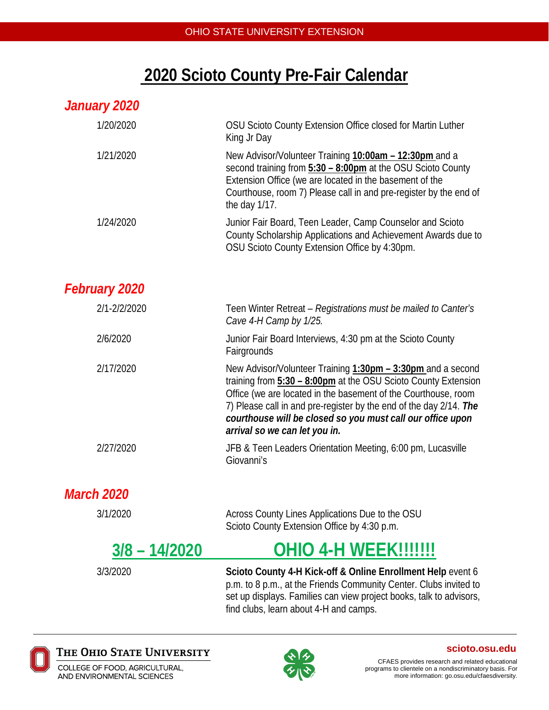# **2020 Scioto County Pre-Fair Calendar**

| January 2020         |                                                                                                                                                                                                                                                                                                                                                                      |
|----------------------|----------------------------------------------------------------------------------------------------------------------------------------------------------------------------------------------------------------------------------------------------------------------------------------------------------------------------------------------------------------------|
| 1/20/2020            | OSU Scioto County Extension Office closed for Martin Luther<br>King Jr Day                                                                                                                                                                                                                                                                                           |
| 1/21/2020            | New Advisor/Volunteer Training 10:00am - 12:30pm and a<br>second training from 5:30 - 8:00pm at the OSU Scioto County<br>Extension Office (we are located in the basement of the<br>Courthouse, room 7) Please call in and pre-register by the end of<br>the day 1/17.                                                                                               |
| 1/24/2020            | Junior Fair Board, Teen Leader, Camp Counselor and Scioto<br>County Scholarship Applications and Achievement Awards due to<br>OSU Scioto County Extension Office by 4:30pm.                                                                                                                                                                                          |
| <b>February 2020</b> |                                                                                                                                                                                                                                                                                                                                                                      |
| 2/1-2/2/2020         | Teen Winter Retreat – Registrations must be mailed to Canter's<br>Cave 4-H Camp by 1/25.                                                                                                                                                                                                                                                                             |
| 2/6/2020             | Junior Fair Board Interviews, 4:30 pm at the Scioto County<br>Fairgrounds                                                                                                                                                                                                                                                                                            |
| 2/17/2020            | New Advisor/Volunteer Training 1:30pm - 3:30pm and a second<br>training from 5:30 - 8:00pm at the OSU Scioto County Extension<br>Office (we are located in the basement of the Courthouse, room<br>7) Please call in and pre-register by the end of the day 2/14. The<br>courthouse will be closed so you must call our office upon<br>arrival so we can let you in. |
| 2/27/2020            | JFB & Teen Leaders Orientation Meeting, 6:00 pm, Lucasville<br>Giovanni's                                                                                                                                                                                                                                                                                            |
| <b>March 2020</b>    |                                                                                                                                                                                                                                                                                                                                                                      |
| 3/1/2020             | Across County Lines Applications Due to the OSU<br>Scioto County Extension Office by 4:30 p.m.                                                                                                                                                                                                                                                                       |
| $3/8 - 14/2020$      | <b>OHIO 4-H WEEK!!!!!!!!</b>                                                                                                                                                                                                                                                                                                                                         |
| 3/3/2020             | Scioto County 4-H Kick-off & Online Enrollment Help event 6<br>p.m. to 8 p.m., at the Friends Community Center. Clubs invited to<br>set up displays. Families can view project books, talk to advisors,<br>find clubs, learn about 4-H and camps.                                                                                                                    |



### THE OHIO STATE UNIVERSITY

COLLEGE OF FOOD, AGRICULTURAL, AND ENVIRONMENTAL SCIENCES



**scioto.osu.edu**

CFAES provides research and related educational programs to clientele on a nondiscriminatory basis. For more information: go.osu.edu/cfaesdiversity.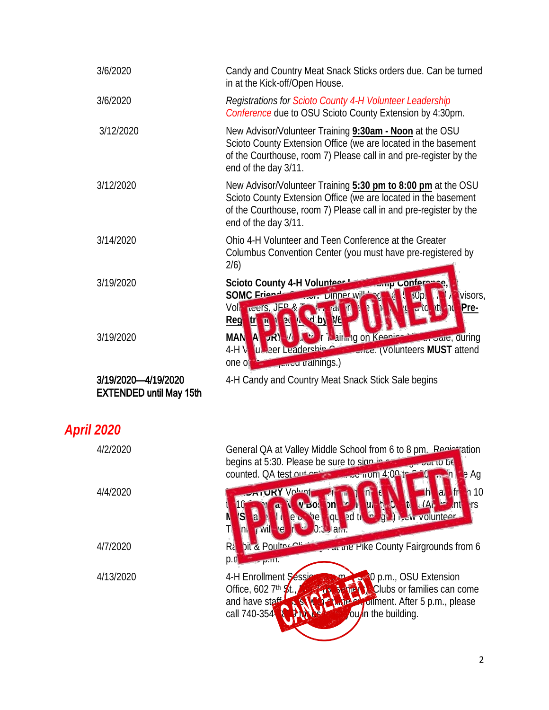| 3/6/2020                                              | Candy and Country Meat Snack Sticks orders due. Can be turned<br>in at the Kick-off/Open House.                                                                                                                                         |
|-------------------------------------------------------|-----------------------------------------------------------------------------------------------------------------------------------------------------------------------------------------------------------------------------------------|
| 3/6/2020                                              | <b>Registrations for Scioto County 4-H Volunteer Leadership</b><br>Conference due to OSU Scioto County Extension by 4:30pm.                                                                                                             |
| 3/12/2020                                             | New Advisor/Volunteer Training 9:30am - Noon at the OSU<br>Scioto County Extension Office (we are located in the basement<br>of the Courthouse, room 7) Please call in and pre-register by the<br>end of the day 3/11.                  |
| 3/12/2020                                             | New Advisor/Volunteer Training 5:30 pm to 8:00 pm at the OSU<br>Scioto County Extension Office (we are located in the basement<br>of the Courthouse, room 7) Please call in and pre-register by the<br>end of the day 3/11.             |
| 3/14/2020                                             | Ohio 4-H Volunteer and Teen Conference at the Greater<br>Columbus Convention Center (you must have pre-registered by<br>2/6)                                                                                                            |
| 3/19/2020                                             | samp Conference<br>Scioto County 4-H Volunteer<br>SOMC Friend Control Dinner Williams<br>visors,<br>30p <sub>1</sub><br>Volt $_{\text{reers}}$ , JFP $_{\text{N}}$<br><b>Pre-</b><br>$-10.11 - 10$<br>U<br><b> Idl</b><br>Reg<br>W<br>D |
| 3/19/2020                                             | <b>All of Mairwing on Keeping Continues on State, during</b><br><b>MAN</b><br>м<br>$\mathbf{z}$<br>$\blacksquare$<br>luneer Leadershin Computer (Volunteers MUST attend<br>$4-HW$<br>one of <b>the compact of dinings.</b> )            |
| 3/19/2020-4/19/2020<br><b>EXTENDED until May 15th</b> | 4-H Candy and Country Meat Snack Stick Sale begins                                                                                                                                                                                      |

# *April 2020*

| 4/2/2020  | General QA at Valley Middle School from 6 to 8 pm. Registration<br>begins at 5:30. Please be sure to sign in a<br>$\sim$ out to be<br>counted. QA test out ont<br>$\sim$ $\sigma$ mom 4:00 t<br>$\mathsf{P}$ Ag                  |
|-----------|----------------------------------------------------------------------------------------------------------------------------------------------------------------------------------------------------------------------------------|
| 4/4/2020  | <b>CATURY</b> Volunt<br>$\ln 10$<br> a <br>$V$ DO:<br>v<br><b>I</b> rs<br>bn<br><b>New volunteer</b><br>$\mathbf{a}$<br>led ti<br>ne:<br><b>WII</b><br>$U \cup \mathcal{A}$ and<br><b>ve</b>                                     |
| 4/7/2020  | pit & Poultry CH<br><b>Example Pike County Fairgrounds from 6</b><br>Ra<br>p.n<br>$\nu$ <sub>111</sub> .                                                                                                                         |
| 4/13/2020 | 4-H Enrollment Sessie<br>10 p.m., OSU Extension<br>Office, 602 7 <sup>th</sup> \$<br>Clubs or families can come<br>and have staff<br><b>Collment.</b> After 5 p.m., please<br><b>Line</b><br>call 740-354<br>ou/in the building. |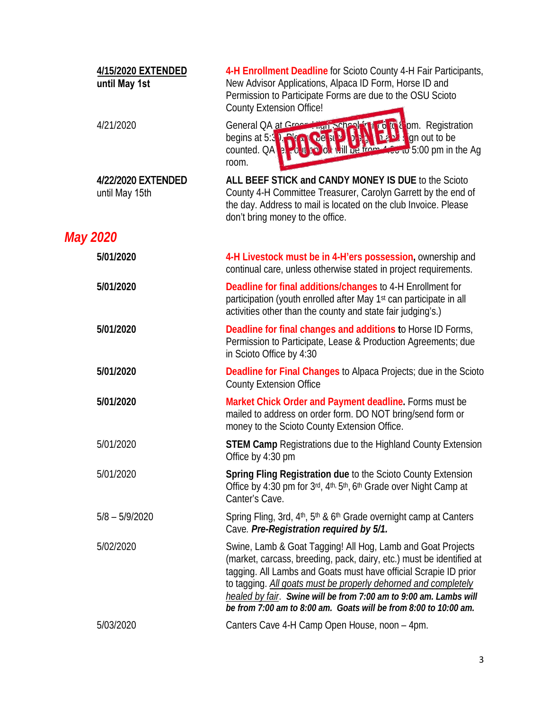| 4/15/2020 EXTENDED<br>until May 1st  | 4-H Enrollment Deadline for Scioto County 4-H Fair Participants,<br>New Advisor Applications, Alpaca ID Form, Horse ID and<br>Permission to Participate Forms are due to the OSU Scioto<br><b>County Extension Office!</b>                                                                                                                                                                                         |
|--------------------------------------|--------------------------------------------------------------------------------------------------------------------------------------------------------------------------------------------------------------------------------------------------------------------------------------------------------------------------------------------------------------------------------------------------------------------|
| 4/21/2020                            | General QA at Green municipal<br><b>to <i>s</i></b> pm. Registration<br>110<br>begins at 5:3 <b>This Coe st 2</b><br><b>Detail</b> gn out to be<br>$\frac{1}{200}$ to 5:00 pm in the Ag<br>counted. OA B Fo U C OH Will ge from<br>room.                                                                                                                                                                           |
| 4/22/2020 EXTENDED<br>until May 15th | ALL BEEF STICK and CANDY MONEY IS DUE to the Scioto<br>County 4-H Committee Treasurer, Carolyn Garrett by the end of<br>the day. Address to mail is located on the club Invoice. Please<br>don't bring money to the office.                                                                                                                                                                                        |
| <b>May 2020</b>                      |                                                                                                                                                                                                                                                                                                                                                                                                                    |
| 5/01/2020                            | 4-H Livestock must be in 4-H'ers possession, ownership and<br>continual care, unless otherwise stated in project requirements.                                                                                                                                                                                                                                                                                     |
| 5/01/2020                            | Deadline for final additions/changes to 4-H Enrollment for<br>participation (youth enrolled after May 1 <sup>st</sup> can participate in all<br>activities other than the county and state fair judging's.)                                                                                                                                                                                                        |
| 5/01/2020                            | Deadline for final changes and additions to Horse ID Forms,<br>Permission to Participate, Lease & Production Agreements; due<br>in Scioto Office by 4:30                                                                                                                                                                                                                                                           |
| 5/01/2020                            | Deadline for Final Changes to Alpaca Projects; due in the Scioto<br><b>County Extension Office</b>                                                                                                                                                                                                                                                                                                                 |
| 5/01/2020                            | Market Chick Order and Payment deadline. Forms must be<br>mailed to address on order form. DO NOT bring/send form or<br>money to the Scioto County Extension Office.                                                                                                                                                                                                                                               |
| 5/01/2020                            | <b>STEM Camp Registrations due to the Highland County Extension</b><br>Office by 4:30 pm                                                                                                                                                                                                                                                                                                                           |
| 5/01/2020                            | Spring Fling Registration due to the Scioto County Extension<br>Office by 4:30 pm for 3rd, 4th, 5th, 6th Grade over Night Camp at<br>Canter's Cave.                                                                                                                                                                                                                                                                |
| $5/8 - 5/9/2020$                     | Spring Fling, 3rd, 4 <sup>th</sup> , 5 <sup>th</sup> & 6 <sup>th</sup> Grade overnight camp at Canters<br>Cave. Pre-Registration required by 5/1.                                                                                                                                                                                                                                                                  |
| 5/02/2020                            | Swine, Lamb & Goat Tagging! All Hog, Lamb and Goat Projects<br>(market, carcass, breeding, pack, dairy, etc.) must be identified at<br>tagging. All Lambs and Goats must have official Scrapie ID prior<br>to tagging. All goats must be properly dehorned and completely<br>healed by fair. Swine will be from 7:00 am to 9:00 am. Lambs will<br>be from 7:00 am to 8:00 am. Goats will be from 8:00 to 10:00 am. |
| 5/03/2020                            | Canters Cave 4-H Camp Open House, noon - 4pm.                                                                                                                                                                                                                                                                                                                                                                      |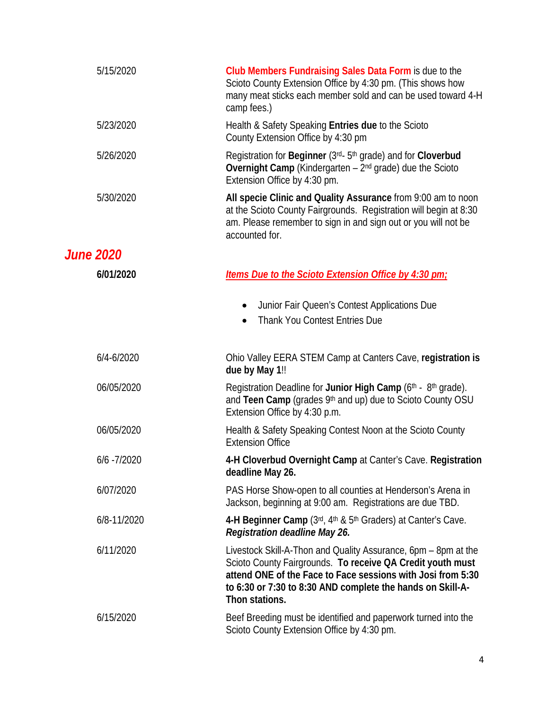| 5/15/2020        | Club Members Fundraising Sales Data Form is due to the<br>Scioto County Extension Office by 4:30 pm. (This shows how<br>many meat sticks each member sold and can be used toward 4-H<br>camp fees.)                                                                         |
|------------------|-----------------------------------------------------------------------------------------------------------------------------------------------------------------------------------------------------------------------------------------------------------------------------|
| 5/23/2020        | Health & Safety Speaking Entries due to the Scioto<br>County Extension Office by 4:30 pm                                                                                                                                                                                    |
| 5/26/2020        | Registration for Beginner (3rd- 5th grade) and for Cloverbud<br>Overnight Camp (Kindergarten $-2nd$ grade) due the Scioto<br>Extension Office by 4:30 pm.                                                                                                                   |
| 5/30/2020        | All specie Clinic and Quality Assurance from 9:00 am to noon<br>at the Scioto County Fairgrounds. Registration will begin at 8:30<br>am. Please remember to sign in and sign out or you will not be<br>accounted for.                                                       |
| <b>June 2020</b> |                                                                                                                                                                                                                                                                             |
| 6/01/2020        | Items Due to the Scioto Extension Office by 4:30 pm;                                                                                                                                                                                                                        |
|                  | Junior Fair Queen's Contest Applications Due<br>$\bullet$<br><b>Thank You Contest Entries Due</b>                                                                                                                                                                           |
| 6/4-6/2020       | Ohio Valley EERA STEM Camp at Canters Cave, registration is<br>due by May 1!!                                                                                                                                                                                               |
| 06/05/2020       | Registration Deadline for Junior High Camp (6th - 8th grade).<br>and Teen Camp (grades 9th and up) due to Scioto County OSU<br>Extension Office by 4:30 p.m.                                                                                                                |
| 06/05/2020       | Health & Safety Speaking Contest Noon at the Scioto County<br><b>Extension Office</b>                                                                                                                                                                                       |
| $6/6 - 7/2020$   | 4-H Cloverbud Overnight Camp at Canter's Cave. Registration<br>deadline May 26.                                                                                                                                                                                             |
| 6/07/2020        | PAS Horse Show-open to all counties at Henderson's Arena in<br>Jackson, beginning at 9:00 am. Registrations are due TBD.                                                                                                                                                    |
| 6/8-11/2020      | 4-H Beginner Camp (3rd, 4th & 5th Graders) at Canter's Cave.<br>Registration deadline May 26.                                                                                                                                                                               |
| 6/11/2020        | Livestock Skill-A-Thon and Quality Assurance, 6pm - 8pm at the<br>Scioto County Fairgrounds. To receive QA Credit youth must<br>attend ONE of the Face to Face sessions with Josi from 5:30<br>to 6:30 or 7:30 to 8:30 AND complete the hands on Skill-A-<br>Thon stations. |
| 6/15/2020        | Beef Breeding must be identified and paperwork turned into the<br>Scioto County Extension Office by 4:30 pm.                                                                                                                                                                |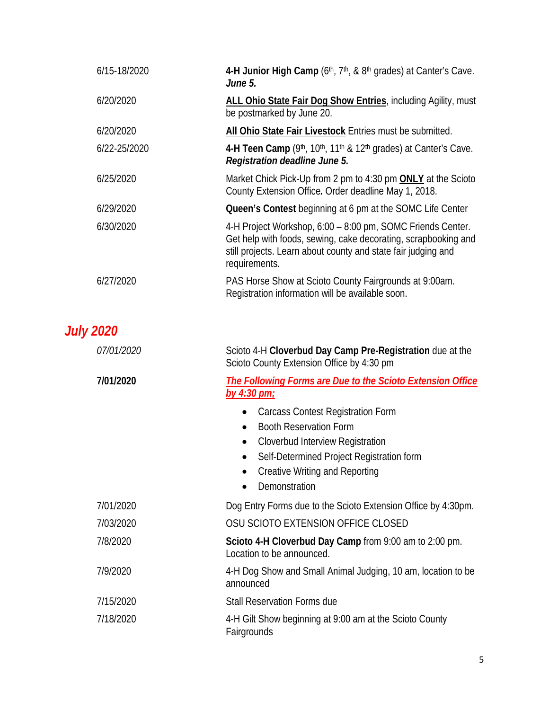| 6/15-18/2020     | 4-H Junior High Camp (6 <sup>th</sup> , 7 <sup>th</sup> , & 8 <sup>th</sup> grades) at Canter's Cave.<br>June 5.                                                                                               |
|------------------|----------------------------------------------------------------------------------------------------------------------------------------------------------------------------------------------------------------|
| 6/20/2020        | ALL Ohio State Fair Dog Show Entries, including Agility, must<br>be postmarked by June 20.                                                                                                                     |
| 6/20/2020        | All Ohio State Fair Livestock Entries must be submitted.                                                                                                                                                       |
| 6/22-25/2020     | 4-H Teen Camp (9 <sup>th</sup> , 10 <sup>th</sup> , 11 <sup>th</sup> & 12 <sup>th</sup> grades) at Canter's Cave.<br>Registration deadline June 5.                                                             |
| 6/25/2020        | Market Chick Pick-Up from 2 pm to 4:30 pm ONLY at the Scioto<br>County Extension Office. Order deadline May 1, 2018.                                                                                           |
| 6/29/2020        | Queen's Contest beginning at 6 pm at the SOMC Life Center                                                                                                                                                      |
| 6/30/2020        | 4-H Project Workshop, 6:00 - 8:00 pm, SOMC Friends Center.<br>Get help with foods, sewing, cake decorating, scrapbooking and<br>still projects. Learn about county and state fair judging and<br>requirements. |
| 6/27/2020        | PAS Horse Show at Scioto County Fairgrounds at 9:00am.<br>Registration information will be available soon.                                                                                                     |
| <b>July 2020</b> |                                                                                                                                                                                                                |
| 07/01/2020       | Scioto 4-H Cloverbud Day Camp Pre-Registration due at the<br>Scioto County Extension Office by 4:30 pm                                                                                                         |
| 7/01/2020        | <b>The Following Forms are Due to the Scioto Extension Office</b><br>by 4:30 pm;                                                                                                                               |
|                  | <b>Carcass Contest Registration Form</b><br>٠                                                                                                                                                                  |
|                  | <b>Booth Reservation Form</b><br>$\bullet$                                                                                                                                                                     |
|                  | Cloverbud Interview Registration<br>$\bullet$                                                                                                                                                                  |
|                  | Self-Determined Project Registration form<br>0<br><b>Creative Writing and Reporting</b>                                                                                                                        |
|                  | Demonstration                                                                                                                                                                                                  |
| 7/01/2020        | Dog Entry Forms due to the Scioto Extension Office by 4:30pm.                                                                                                                                                  |
| 7/03/2020        | OSU SCIOTO EXTENSION OFFICE CLOSED                                                                                                                                                                             |
| 7/8/2020         | Scioto 4-H Cloverbud Day Camp from 9:00 am to 2:00 pm.<br>Location to be announced.                                                                                                                            |
| 7/9/2020         | 4-H Dog Show and Small Animal Judging, 10 am, location to be<br>announced                                                                                                                                      |
| 7/15/2020        | <b>Stall Reservation Forms due</b>                                                                                                                                                                             |
| 7/18/2020        | 4-H Gilt Show beginning at 9:00 am at the Scioto County<br>Fairgrounds                                                                                                                                         |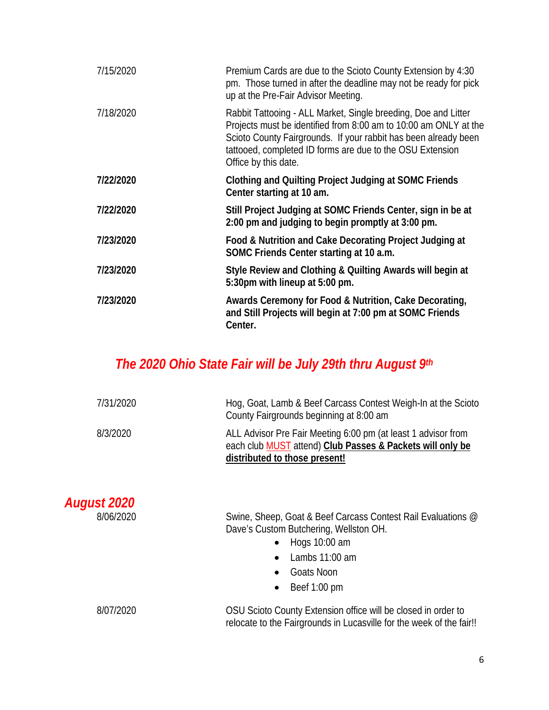| 7/15/2020 | Premium Cards are due to the Scioto County Extension by 4:30<br>pm. Those turned in after the deadline may not be ready for pick<br>up at the Pre-Fair Advisor Meeting.                                                                                                                    |
|-----------|--------------------------------------------------------------------------------------------------------------------------------------------------------------------------------------------------------------------------------------------------------------------------------------------|
| 7/18/2020 | Rabbit Tattooing - ALL Market, Single breeding, Doe and Litter<br>Projects must be identified from 8:00 am to 10:00 am ONLY at the<br>Scioto County Fairgrounds. If your rabbit has been already been<br>tattooed, completed ID forms are due to the OSU Extension<br>Office by this date. |
| 7/22/2020 | Clothing and Quilting Project Judging at SOMC Friends<br>Center starting at 10 am.                                                                                                                                                                                                         |
| 7/22/2020 | Still Project Judging at SOMC Friends Center, sign in be at<br>2:00 pm and judging to begin promptly at 3:00 pm.                                                                                                                                                                           |
| 7/23/2020 | Food & Nutrition and Cake Decorating Project Judging at<br>SOMC Friends Center starting at 10 a.m.                                                                                                                                                                                         |
| 7/23/2020 | Style Review and Clothing & Quilting Awards will begin at<br>5:30pm with lineup at 5:00 pm.                                                                                                                                                                                                |
| 7/23/2020 | Awards Ceremony for Food & Nutrition, Cake Decorating,<br>and Still Projects will begin at 7:00 pm at SOMC Friends<br>Center.                                                                                                                                                              |

# *The 2020 Ohio State Fair will be July 29th thru August 9th*

| 7/31/2020                       | Hog, Goat, Lamb & Beef Carcass Contest Weigh-In at the Scioto<br>County Fairgrounds beginning at 8:00 am                                                                               |
|---------------------------------|----------------------------------------------------------------------------------------------------------------------------------------------------------------------------------------|
| 8/3/2020                        | ALL Advisor Pre Fair Meeting 6:00 pm (at least 1 advisor from<br>each club MUST attend) Club Passes & Packets will only be<br>distributed to those present!                            |
| <b>August 2020</b><br>8/06/2020 | Swine, Sheep, Goat & Beef Carcass Contest Rail Evaluations @<br>Dave's Custom Butchering, Wellston OH.<br>Hogs 10:00 am<br>$\bullet$<br>Lambs $11:00$ am<br>Goats Noon<br>Beef 1:00 pm |
| 8/07/2020                       | OSU Scioto County Extension office will be closed in order to<br>relocate to the Fairgrounds in Lucasville for the week of the fair!!                                                  |